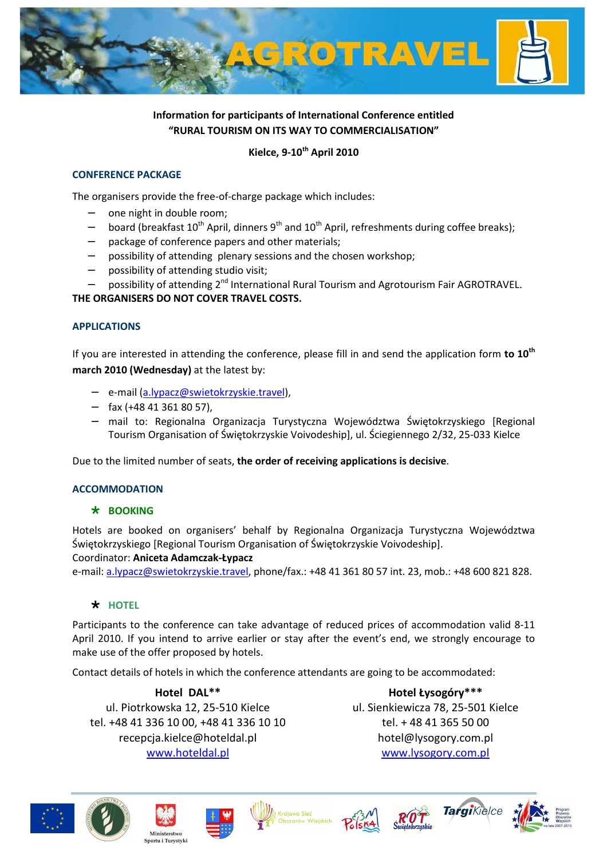

# **Information for participants of International Conference entitled "RURAL TOURISM ON ITS WAY TO COMMERCIALISATION"**

### **Kielce, 9-10th April 2010**

#### **CONFERENCE PACKAGE**

The organisers provide the free-of-charge package which includes:

- one night in double room;
- board (breakfast  $10^{th}$  April, dinners  $9^{th}$  and  $10^{th}$  April, refreshments during coffee breaks);
- package of conference papers and other materials;
- possibility of attending plenary sessions and the chosen workshop;
- possibility of attending studio visit;
- possibility of attending 2<sup>nd</sup> International Rural Tourism and Agrotourism Fair AGROTRAVEL.

#### **THE ORGANISERS DO NOT COVER TRAVEL COSTS.**

#### **APPLICATIONS**

If you are interested in attending the conference, please fill in and send the application form **to 10th march 2010 (Wednesday)** at the latest by:

- − e-mail (a.lypacz@swietokrzyskie.travel),
- − fax (+48 41 361 80 57),
- − mail to: Regionalna Organizacja Turystyczna Województwa Świętokrzyskiego [Regional Tourism Organisation of Świętokrzyskie Voivodeship], ul. Ściegiennego 2/32, 25-033 Kielce

Due to the limited number of seats, **the order of receiving applications is decisive**.

#### **ACCOMMODATION**

#### **BOOKING**

Hotels are booked on organisers' behalf by Regionalna Organizacja Turystyczna Województwa Świętokrzyskiego [Regional Tourism Organisation of Świętokrzyskie Voivodeship].

Coordinator: **Aniceta Adamczak-Łypacz**

e-mail: a.lypacz@swietokrzyskie.travel, phone/fax.: +48 41 361 80 57 int. 23, mob.: +48 600 821 828.

#### **\*** HOTFL

Participants to the conference can take advantage of reduced prices of accommodation valid 8-11 April 2010. If you intend to arrive earlier or stay after the event's end, we strongly encourage to make use of the offer proposed by hotels.

Contact details of hotels in which the conference attendants are going to be accommodated:

#### **Hotel DAL\*\***

ul. Piotrkowska 12, 25-510 Kielce tel. +48 41 336 10 00, +48 41 336 10 10 recepcja.kielce@hoteldal.pl www.hoteldal.pl

**Hotel Łysogóry\*\*\***  ul. Sienkiewicza 78, 25-501 Kielce tel. + 48 41 365 50 00 hotel@lysogory.com.pl www.lysogory.com.pl